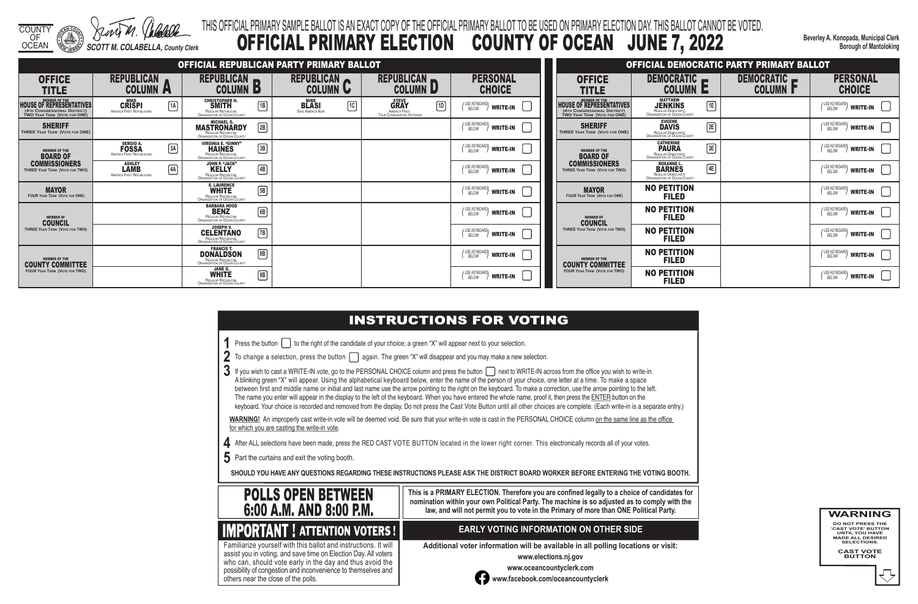COUNTY OF

OCEAN *SCOTT M. COLABELLA, County Clerk*

# **INSTRUCTIONS FOR VOTING**

**1** Press the button  $\Box$  to the right of the candidate of your choice; a green "X" will appear next to your selection.

|  | $2\,$ To change a selection, press the button $\bigcap$ again. The green "X" will disappear and you may make a new selection. |
|--|-------------------------------------------------------------------------------------------------------------------------------|
|--|-------------------------------------------------------------------------------------------------------------------------------|

**Beverley A. Konopada, Municipal Clerk Borough of Mantoloking**

# THIS OFFICIAL PRIMARY SAMPLE BALLOT IS AN EXACT COPY OF THE OFFICIAL PRIMARY BALLOT TO BE USED ON PRIMARY ELECTION DAY. THIS BALLOT CANNOT BE VOTED. OFFICIAL PRIMARY ELECTION COUNTY OF OCEAN JUNE 7, 2022

 $3$  If you wish to cast a WRITE-IN vote, go to the PERSONAL CHOICE column and press the button  $\Box$  next to WRITE-IN across from the office you wish to write-in. A blinking green "X" will appear. Using the alphabetical keyboard below, enter the name of the person of your choice, one letter at a time. To make a space between first and middle name or initial and last name use the arrow pointing to the right on the keyboard. To make a correction, use the arrow pointing to the left. The name you enter will appear in the display to the left of the keyboard. When you have entered the whole name, proof it, then press the ENTER button on the keyboard. Your choice is recorded and removed from the display. Do not press the Cast Vote Button until all other choices are complete. (Each write-in is a separate entry.)

WARNING! An improperly cast write-in vote will be deemed void. Be sure that your write-in vote is cast in the PERSONAL CHOICE column on the same line as the office for which you are casting the write-in vote.

|                                                                                                                         |                                                                              |                                                                                                                     | OFFICIAL REPUBLICAN PARTY PRIMARY BALLOT                              |                                                                                            |                                                 |                                                                                                                         |
|-------------------------------------------------------------------------------------------------------------------------|------------------------------------------------------------------------------|---------------------------------------------------------------------------------------------------------------------|-----------------------------------------------------------------------|--------------------------------------------------------------------------------------------|-------------------------------------------------|-------------------------------------------------------------------------------------------------------------------------|
| <b>OFFICE</b><br><b>TITLE</b>                                                                                           | <b>REPUBLICAN</b><br><b>COLUMN</b>                                           | <b>REPUBLICAN</b><br><b>COLUMN</b><br>Ð                                                                             | <b>REPUBLICAN</b><br><b>COLUMN</b><br>U                               | <b>REPUBLICAN</b><br><b>COLUMN D</b>                                                       | <b>PERSONAL</b><br><b>CHOICE</b>                | <b>OFFICE</b><br><b>TITLE</b>                                                                                           |
| <b>MEMBER OF THE</b><br><b>HOUSE OF REPRESENTATIVES</b><br>(4TH CONGRESSIONAL DISTRICT)<br>TWO YEAR TERM (VOTE FOR ONE) | <b>MIKE</b><br>1A<br><b>CRISPI</b><br>AMERICA FIRST REPUBLICANS              | <b>CHRISTOPHER H.</b><br>1B<br><b>SMITH</b><br>REGULAR REPUBLICAN<br>ORGANIZATION OF OCEAN COUNTY                   | <b>MIKE</b><br>$\sqrt{10}$<br><b>BLASI</b><br><b>SAVE AMERICA NOW</b> | <b>STEVE</b><br>$\lceil$ 1D<br><b>GRAY</b><br>AMERICA FIRST:<br>TRUE CONSERVATIVE OUTSIDER | USE KEYBOARD'<br>BELOW<br><b>WRITE-IN</b>       | <b>MEMBER OF THE</b><br><b>HOUSE OF REPRESENTATIVES</b><br>(4TH CONGRESSIONAL DISTRICT)<br>TWO YEAR TERM (VOTE FOR ONE) |
| <b>SHERIFF</b><br><b>THREE YEAR TERM (VOTE FOR ONE)</b>                                                                 |                                                                              | <b>MICHAEL G.</b><br>$\sqrt{2B}$<br><b>MASTRONARDY</b><br>REGULAR REPUBLICAN<br><b>ORGANIZATION OF OCEAN COUNTY</b> |                                                                       |                                                                                            | <b>USE KEYBOARD</b><br><b>WRITE-IN</b><br>BELOW | <b>SHERIFF</b><br><b>THREE YEAR TERM (VOTE FOR ONE)</b>                                                                 |
| <b>MEMBER OF THE</b><br><b>BOARD OF</b>                                                                                 | <b>SERGIO A.</b><br>3A<br><b>FOSSA</b><br>AMERICA FIRST REPUBLICANS          | <b>VIRGINIA E. "GINNY"</b><br>$\sqrt{3B}$<br><b>HAINES</b><br>REGULAR REPUBLICAN<br>ORGANIZATION OF OCEAN COUNTY    |                                                                       |                                                                                            | (USE KEYBOARD)<br>BELOW<br><b>WRITE-IN</b>      | <b>MEMBER OF THE</b><br><b>BOARD OF</b>                                                                                 |
| <b>COMMISSIONERS</b><br>THREE YEAR TERM (VOTE FOR TWO)                                                                  | <b>ASHLEY</b><br>$\overline{4A}$<br><b>LAMB</b><br>AMERICA FIRST REPUBLICANS | <b>JOHN P. "JACK"</b><br>$\sqrt{4B}$<br><b>KELLY</b><br>REGULAR REPUBLICAN<br>ORGANIZATION OF OCEAN COUNTY          |                                                                       |                                                                                            | USE KEYBOARD<br>BELOW<br><b>WRITE-IN</b>        | <b>COMMISSIONERS</b><br>THREE YEAR TERM (VOTE FOR TWO)                                                                  |
| <b>MAYOR</b><br><b>FOUR YEAR TERM (VOTE FOR ONE)</b>                                                                    |                                                                              | <b>E. LAURENCE</b><br>俪<br><b>WHITE</b><br><b>REGULAR REPUBLICAN</b><br>ORGANIZATION OF OCEAN COUNTY                |                                                                       |                                                                                            | USE KEYBOARD<br>BELOW<br><b>WRITE-IN</b>        | <b>MAYOR</b><br><b>FOUR YEAR TERM (VOTE FOR ONE)</b>                                                                    |
| <b>MEMBER OF</b><br><b>COUNCIL</b>                                                                                      |                                                                              | <b>BARBARA HOOD</b><br>碅<br><b>BENZ</b><br>REGULAR REPUBLICAN<br>ORGANIZATION OF OCEAN COUNTY                       |                                                                       |                                                                                            | ' USE KEYBOARD<br><b>WRITE-IN</b><br>BELOW      | <b>MEMBER OF</b><br><b>COUNCIL</b>                                                                                      |
| THREE YEAR TERM (VOTE FOR TWO)                                                                                          |                                                                              | <b>JOSEPH V.</b><br>$\sqrt{7B}$<br><b>CELENTANO</b><br><b>REGULAR REPUBLICAN</b><br>ORGANIZATION OF OCEAN COUNTY    |                                                                       |                                                                                            | USE KEYBOARD<br><b>WRITE-IN</b><br>BELOW        | THREE YEAR TERM (VOTE FOR TWO)                                                                                          |
| <b>MEMBER OF THE</b><br><b>COUNTY COMMITTEE</b>                                                                         |                                                                              | <b>FRANCIS T.</b><br>$\lceil 8B \rceil$<br><b>DONALDSON</b><br>REGULAR REPUBLICAN<br>ORGANIZATION OF OCEAN COUNTY   |                                                                       |                                                                                            | USE KEYBOARD<br><b>WRITE-IN</b><br>BELOW        | <b>MEMBER OF THE</b><br><b>COUNTY COMMITTEE</b>                                                                         |
| <b>FOUR YEAR TERM (VOTE FOR TWO)</b>                                                                                    |                                                                              | JANE G.<br>9B<br><b>WHITE</b><br><b>REGULAR REPUBLICAN</b><br><b>ORGANIZATION OF OCEAN COUNTY</b>                   |                                                                       |                                                                                            | ' USE KEYBOARD<br><b>WRITE-IN</b><br>BELOW      | <b>FOUR YEAR TERM (VOTE FOR TWO)</b>                                                                                    |

**4** After ALL selections have been made, press the RED CAST VOTE BUTTON located in the lower right corner. This electronically records all of your votes.

**5** Part the curtains and exit the voting booth.

**SHOULD YOU HAVE ANY QUESTIONS REGARDING THESE INSTRUCTIONS PLEASE ASK THE DISTRICT BOARD WORKER BEFORE ENTERING THE VOTING BOOTH.**

**This is a PRIMARY ELECTION. Therefore you are confined legally to a choice of candidates for nomination within your own Political Party. The machine is so adjusted as to comply with the law, and will not permit you to vote in the Primary of more than ONE Political Party.**

 assist you in voting, and save time on Election Day. All voters Familiarize yourself with this ballot and instructions. It will who can, should vote early in the day and thus avoid the possibility of congestion and inconvenience to themselves and others near the close of the polls.

## **EARLY VOTING INFORMATION ON OTHER SIDE**

**Additional voter information will be available in all polling locations or visit:**

**www.elections.nj.gov** 



**www.oceancountyclerk.com <sup>w</sup>ww.facebook.com/oceancountyclerk**







# **IMPORTANT ! ATTENTION VOTERS !**

|                                                                                                         |                                                                                                 |    | <b>OFFICIAL DEMOCRATIC PARTY PRIMARY BALLOT</b> |                                                     |
|---------------------------------------------------------------------------------------------------------|-------------------------------------------------------------------------------------------------|----|-------------------------------------------------|-----------------------------------------------------|
| OFFICE<br>TITLE                                                                                         | DEMOCRATIC<br>COLUMN                                                                            |    | Democratic<br><b>COLUMN  </b>                   | <b>PERSONAL</b><br><b>CHOICE</b>                    |
| <b>MEMBER OF THE</b><br>OF REPRESENTATIVES<br>ONGRESSIONAL DISTRICT)<br>EAR TERM (VOTE FOR <b>ONE</b> ) | <b>MATTHEW</b><br><b>JENKINS</b><br>REGULAR DEMOCRATIC<br>ORGANIZATION OF OCEAN COUNTY          | 1E |                                                 | (USE KEYBOARD)<br><b>WRITE-IN</b><br><b>BELOW</b>   |
| <b>SHERIFF</b><br><b>EAR TERM (VOTE FOR ONE)</b>                                                        | <b>EUGENE</b><br>DAVIS<br>REGULAR DEMOCRATIC<br>ORGANIZATION OF OCEAN COUNTY                    | 2E |                                                 | ' USE KEYBOARD'<br><b>WRITE-IN</b><br>BELOW         |
| <b>MEMBER OF THE</b><br><b>BOARD OF</b>                                                                 | <b>CATHERINE</b><br><b>PAURA</b><br>REGULAR DEMOCRATIC<br>ORGANIZATION OF OCEAN COUNTY          | 3E |                                                 | ' USE KEYBOARD <b>\</b><br><b>WRITE-IN</b><br>BELOW |
| MMISSIONERS<br>YEAR TERM (VOTE FOR TWO)                                                                 | <b>ROXANNE L.</b><br><b>BARNES</b><br>REGULAR DEMOCRATIC<br><b>ORGANIZATION OF OCEAN COUNTY</b> | 4E |                                                 | USE KEYBOARD'<br><b>WRITE-IN</b><br>BELOW           |
| <b>MAYOR</b><br>YEAR TERM (VOTE FOR ONE)                                                                | <b>NO PETITION</b><br><b>FILED</b>                                                              |    |                                                 | ' USE KEYBOARD'<br><b>WRITE-IN</b><br><b>BELOW</b>  |
| <b>MEMBER OF</b><br><b>COUNCIL</b>                                                                      | NO PETITION<br><b>FILED</b>                                                                     |    |                                                 | ' USE KEYBOARD'<br><b>WRITE-IN</b><br><b>BELOW</b>  |
| YEAR TERM (VOTE FOR TWO)                                                                                | <b>NO PETITION</b><br><b>FILED</b>                                                              |    |                                                 | ' USE KEYBOARD'<br><b>WRITE-IN</b><br><b>BELOW</b>  |
| <b>MEMBER OF THE</b><br>ITY COMMITTEE                                                                   | <b>NO PETITION</b><br><b>FILED</b>                                                              |    |                                                 | (USE KEYBOARD)<br><b>WRITE-IN</b><br>BELOW          |
| <b>FEAR TERM (VOTE FOR TWO)</b>                                                                         | <b>NO PETITION</b><br><b>FILED</b>                                                              |    |                                                 | I USE KEYBOARDI<br><b>WRITE-IN</b><br><b>BELOW</b>  |

- 
- 
- 
-